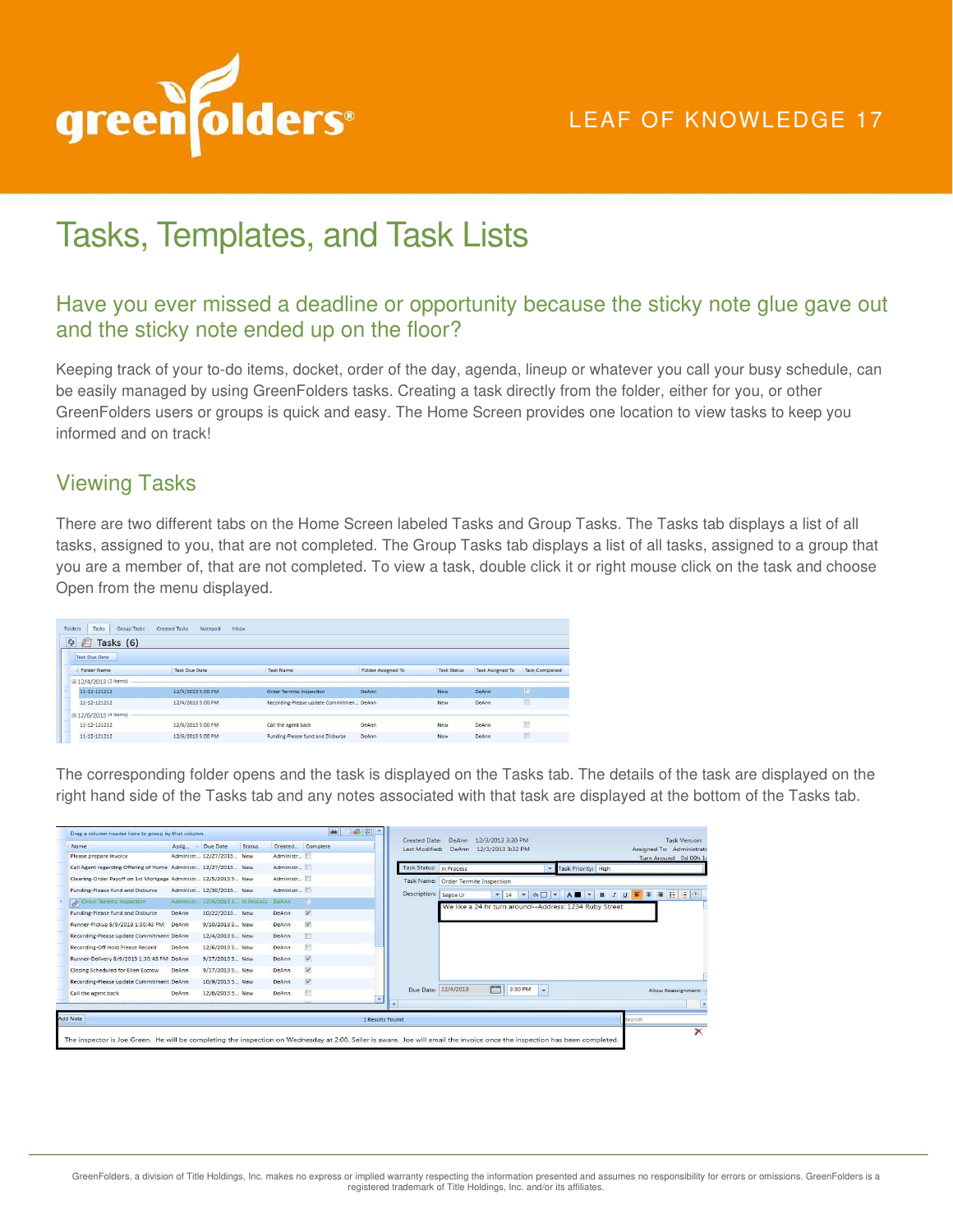

## Tasks, Templates, and Task Lists

### Have you ever missed a deadline or opportunity because the sticky note glue gave out and the sticky note ended up on the floor?

Keeping track of your to-do items, docket, order of the day, agenda, lineup or whatever you call your busy schedule, can be easily managed by using GreenFolders tasks. Creating a task directly from the folder, either for you, or other GreenFolders users or groups is quick and easy. The Home Screen provides one location to view tasks to keep you informed and on track!

### Viewing Tasks

There are two different tabs on the Home Screen labeled Tasks and Group Tasks. The Tasks tab displays a list of all tasks, assigned to you, that are not completed. The Group Tasks tab displays a list of all tasks, assigned to a group that you are a member of, that are not completed. To view a task, double click it or right mouse click on the task and choose Open from the menu displayed.

| Tasks<br>Folders<br>Group Tasks | <b>Inbox</b><br><b>Created Tasks</b><br>Notepad |                                         |                           |                    |                         |                       |
|---------------------------------|-------------------------------------------------|-----------------------------------------|---------------------------|--------------------|-------------------------|-----------------------|
| $e_{\theta}$<br>E<br>Tasks (6)  |                                                 |                                         |                           |                    |                         |                       |
| <b>Task Due Date</b>            |                                                 |                                         |                           |                    |                         |                       |
| <b>Folder Name</b>              | <b>Task Due Date</b>                            | Task Name                               | <b>Folder Assigned To</b> | <b>Task Status</b> | <b>Task Assigned To</b> | <b>Task Completed</b> |
| □ 12/4/2013 (2 items)           |                                                 |                                         |                           |                    |                         |                       |
| 11-12-121212                    | 12/4/2013 5:00 PM                               | Order Termite Inspection                | DeAnn                     | <b>New</b>         | DeAnn                   | E                     |
| 11-12-121212                    | 12/4/2013 5:00 PM                               | Recording-Please update Commitmen DeAnn | New                       |                    | DeAnn                   | 回                     |
| □ 12/6/2013 (4 items)           |                                                 |                                         |                           |                    |                         |                       |
| 11-12-121212                    | 12/6/2013 5:00 PM                               | Call the agent back                     | DeAnn                     | New                | DeAnn                   | E                     |
| 11-12-121212                    | 12/6/2013 5:00 PM                               | Funding-Please fund and Disburse        | DeAnn                     | New                | DeAnn                   | 画                     |

The corresponding folder opens and the task is displayed on the Tasks tab. The details of the task are displayed on the right hand side of the Tasks tab and any notes associated with that task are displayed at the bottom of the Tasks tab.

| Name                                                            | Assig | Due Date                                  | Status |              | Created Complete        | Created Date:<br>Last Modified: | DeAnn | 12/3/2013 3:30 PM<br>DeAnn 12/3/2013 3:32 PM               | Task Version:<br>Assigned To: Administrato                                                   |
|-----------------------------------------------------------------|-------|-------------------------------------------|--------|--------------|-------------------------|---------------------------------|-------|------------------------------------------------------------|----------------------------------------------------------------------------------------------|
| Please prepare Invoice                                          |       | Administr 12/27/2013 New                  |        | Administr    |                         |                                 |       |                                                            | Turn Around: 0d 00h 1r                                                                       |
| Call Agent regarding Offering of Home Administr 12/27/2013 New  |       |                                           |        | Administr    |                         | Task Status: In Process         |       | - Task Priority: High                                      |                                                                                              |
| Clearing-Order Payoff on 1st Mortgage Administr 12/5/2013 5 New |       |                                           |        | Administr    |                         |                                 |       | Task Name: Order Termite Inspection                        |                                                                                              |
| Funding-Please fund and Disburse                                |       | Administr 12/30/2013 New                  |        | Administr    |                         | Description: Segoe UI           |       | $\circ$ $\Box$ $\sim$<br>$-14$<br>$\overline{\phantom{a}}$ | A <b>B</b> $\bullet$ <b>B</b> $I$ <b>U</b> $\mathbf{F}$ = $\mathbf{F}$ <b>E</b> $\mathbf{F}$ |
| Order Termite Inspection                                        |       | Administr., 12/4/2013 3. In Process DeAnn |        |              | <b>TEL</b>              |                                 |       | We like a 24 hr turn around--Address: 1234 Ruby Street     |                                                                                              |
| Funding-Please fund and Disburse                                | DeAnn | 10/22/2013 New                            |        | DeAnn        | $\overline{\mathbf{v}}$ |                                 |       |                                                            |                                                                                              |
| Runner-Pickup 8/9/2013 1:30:43 PM                               | DeAnn | 9/10/2013 5 New                           |        | DeAnn        | V                       |                                 |       |                                                            |                                                                                              |
| Recording-Please update Commitment DeAnn                        |       | 12/4/2013 5 New                           |        | DeAnn        | $\Box$                  |                                 |       |                                                            |                                                                                              |
| Recording-Off Hold Please Record                                | DeAnn | 12/6/2013 5 New                           |        | DeAnn        | <b>IFT</b>              |                                 |       |                                                            |                                                                                              |
| Runner-Delivery 8/9/2013 1:30:43 PM DeAnn                       |       | 9/17/2013 5 New                           |        | DeAnn        | $\overline{\mathbf{v}}$ |                                 |       |                                                            |                                                                                              |
| Closing Scheduled for Ellen Escrow                              | DeAnn | 9/17/2013 5 New                           |        | DeAnn        | V                       |                                 |       |                                                            |                                                                                              |
| Recording-Please update Commitment DeAnn                        |       | 10/9/2013 5 New                           |        | DeAnn        | $\triangledown$         |                                 |       |                                                            |                                                                                              |
| Call the agent back                                             | DeAnn | 12/6/2013 5 New                           |        | <b>DeAnn</b> | Ħ                       | Due Date: 12/4/2013             |       | FT.<br>3:30 PM<br>$\overline{\phantom{0}}$                 | Allow Reassignment:                                                                          |
|                                                                 |       |                                           |        |              |                         | $\blacktriangleleft$            |       |                                                            |                                                                                              |
| <b>Add Note</b>                                                 |       |                                           |        |              |                         | 1 Results Found.                |       |                                                            | Search                                                                                       |
|                                                                 |       |                                           |        |              |                         |                                 |       |                                                            |                                                                                              |